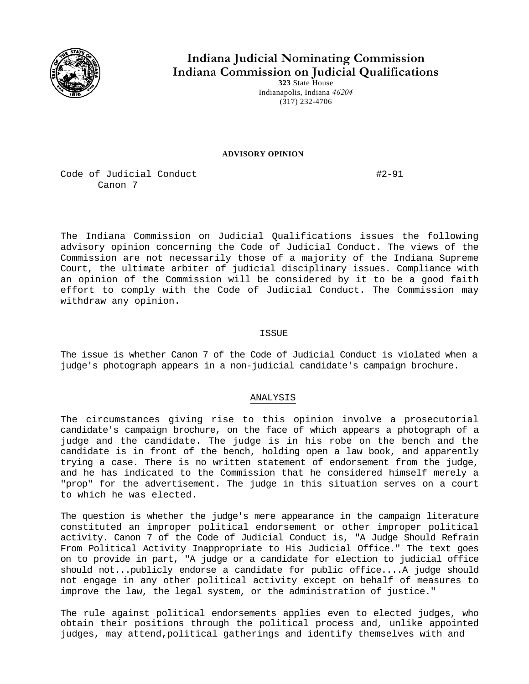

# **Indiana Judicial Nominating Commission Indiana Commission on Judicial Qualifications 323** State House

Indianapolis, Indiana *46204*  (317) 232-4706

#### **ADVISORY OPINION**

Code of Judicial Conduct #2-91 Canon 7

The Indiana Commission on Judicial Qualifications issues the following advisory opinion concerning the Code of Judicial Conduct. The views of the Commission are not necessarily those of a majority of the Indiana Supreme Court, the ultimate arbiter of judicial disciplinary issues. Compliance with an opinion of the Commission will be considered by it to be a good faith effort to comply with the Code of Judicial Conduct. The Commission may withdraw any opinion.

## ISSUE

The issue is whether Canon 7 of the Code of Judicial Conduct is violated when a judge's photograph appears in a non-judicial candidate's campaign brochure.

## ANALYSIS

The circumstances giving rise to this opinion involve a prosecutorial candidate's campaign brochure, on the face of which appears a photograph of a judge and the candidate. The judge is in his robe on the bench and the candidate is in front of the bench, holding open a law book, and apparently trying a case. There is no written statement of endorsement from the judge, and he has indicated to the Commission that he considered himself merely a "prop" for the advertisement. The judge in this situation serves on a court to which he was elected.

The question is whether the judge's mere appearance in the campaign literature constituted an improper political endorsement or other improper political activity. Canon 7 of the Code of Judicial Conduct is, "A Judge Should Refrain From Political Activity Inappropriate to His Judicial Office." The text goes on to provide in part, "A judge or a candidate for election to judicial office should not...publicly endorse a candidate for public office....A judge should not engage in any other political activity except on behalf of measures to improve the law, the legal system, or the administration of justice."

The rule against political endorsements applies even to elected judges, who obtain their positions through the political process and, unlike appointed judges, may attend,political gatherings and identify themselves with and